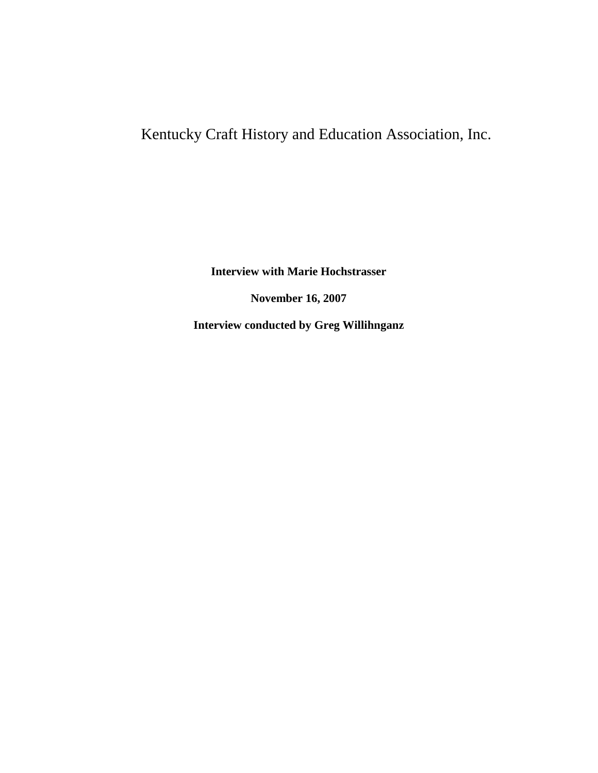## Kentucky Craft History and Education Association, Inc.

**Interview with Marie Hochstrasser November 16, 2007 Interview conducted by Greg Willihnganz**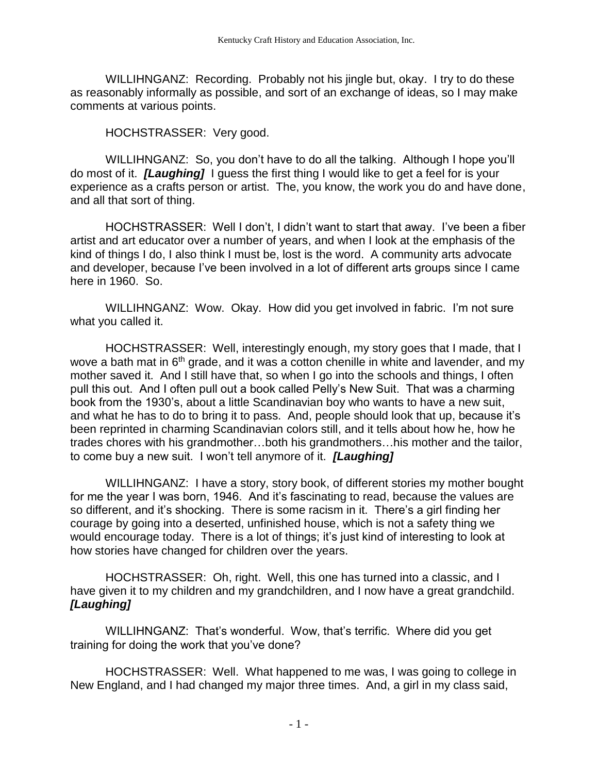WILLIHNGANZ: Recording. Probably not his jingle but, okay. I try to do these as reasonably informally as possible, and sort of an exchange of ideas, so I may make comments at various points.

HOCHSTRASSER: Very good.

WILLIHNGANZ: So, you don't have to do all the talking. Although I hope you'll do most of it. *[Laughing]* I guess the first thing I would like to get a feel for is your experience as a crafts person or artist. The, you know, the work you do and have done, and all that sort of thing.

HOCHSTRASSER: Well I don't, I didn't want to start that away. I've been a fiber artist and art educator over a number of years, and when I look at the emphasis of the kind of things I do, I also think I must be, lost is the word. A community arts advocate and developer, because I've been involved in a lot of different arts groups since I came here in 1960. So.

WILLIHNGANZ: Wow. Okay. How did you get involved in fabric. I'm not sure what you called it.

HOCHSTRASSER: Well, interestingly enough, my story goes that I made, that I wove a bath mat in  $6<sup>th</sup>$  grade, and it was a cotton chenille in white and lavender, and my mother saved it. And I still have that, so when I go into the schools and things, I often pull this out. And I often pull out a book called Pelly's New Suit. That was a charming book from the 1930's, about a little Scandinavian boy who wants to have a new suit, and what he has to do to bring it to pass. And, people should look that up, because it's been reprinted in charming Scandinavian colors still, and it tells about how he, how he trades chores with his grandmother…both his grandmothers…his mother and the tailor, to come buy a new suit. I won't tell anymore of it. *[Laughing]*

WILLIHNGANZ: I have a story, story book, of different stories my mother bought for me the year I was born, 1946. And it's fascinating to read, because the values are so different, and it's shocking. There is some racism in it. There's a girl finding her courage by going into a deserted, unfinished house, which is not a safety thing we would encourage today. There is a lot of things; it's just kind of interesting to look at how stories have changed for children over the years.

HOCHSTRASSER: Oh, right. Well, this one has turned into a classic, and I have given it to my children and my grandchildren, and I now have a great grandchild. *[Laughing]*

WILLIHNGANZ: That's wonderful. Wow, that's terrific. Where did you get training for doing the work that you've done?

HOCHSTRASSER: Well. What happened to me was, I was going to college in New England, and I had changed my major three times. And, a girl in my class said,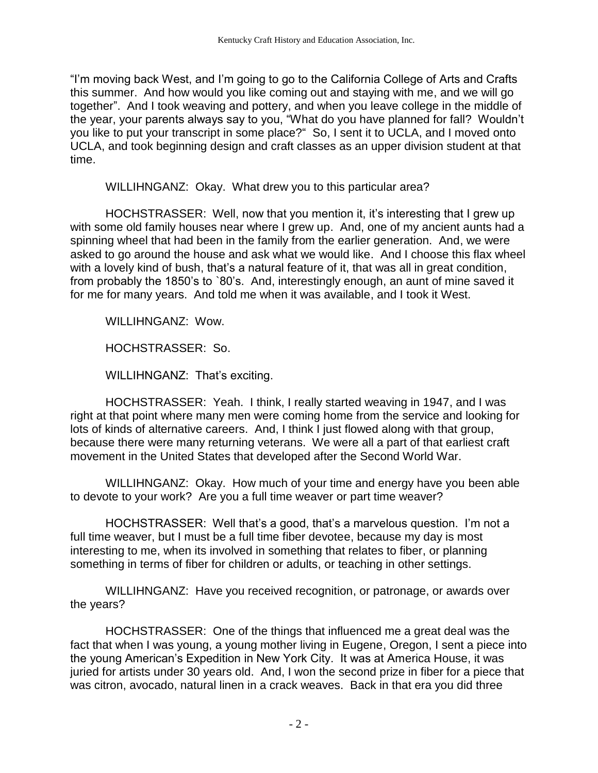"I'm moving back West, and I'm going to go to the California College of Arts and Crafts this summer. And how would you like coming out and staying with me, and we will go together". And I took weaving and pottery, and when you leave college in the middle of the year, your parents always say to you, "What do you have planned for fall? Wouldn't you like to put your transcript in some place?" So, I sent it to UCLA, and I moved onto UCLA, and took beginning design and craft classes as an upper division student at that time.

WILLIHNGANZ: Okay. What drew you to this particular area?

HOCHSTRASSER: Well, now that you mention it, it's interesting that I grew up with some old family houses near where I grew up. And, one of my ancient aunts had a spinning wheel that had been in the family from the earlier generation. And, we were asked to go around the house and ask what we would like. And I choose this flax wheel with a lovely kind of bush, that's a natural feature of it, that was all in great condition, from probably the 1850's to `80's. And, interestingly enough, an aunt of mine saved it for me for many years. And told me when it was available, and I took it West.

WILLIHNGANZ: Wow.

HOCHSTRASSER: So.

WILLIHNGANZ: That's exciting.

HOCHSTRASSER: Yeah. I think, I really started weaving in 1947, and I was right at that point where many men were coming home from the service and looking for lots of kinds of alternative careers. And, I think I just flowed along with that group, because there were many returning veterans. We were all a part of that earliest craft movement in the United States that developed after the Second World War.

WILLIHNGANZ: Okay. How much of your time and energy have you been able to devote to your work? Are you a full time weaver or part time weaver?

HOCHSTRASSER: Well that's a good, that's a marvelous question. I'm not a full time weaver, but I must be a full time fiber devotee, because my day is most interesting to me, when its involved in something that relates to fiber, or planning something in terms of fiber for children or adults, or teaching in other settings.

WILLIHNGANZ: Have you received recognition, or patronage, or awards over the years?

HOCHSTRASSER: One of the things that influenced me a great deal was the fact that when I was young, a young mother living in Eugene, Oregon, I sent a piece into the young American's Expedition in New York City. It was at America House, it was juried for artists under 30 years old. And, I won the second prize in fiber for a piece that was citron, avocado, natural linen in a crack weaves. Back in that era you did three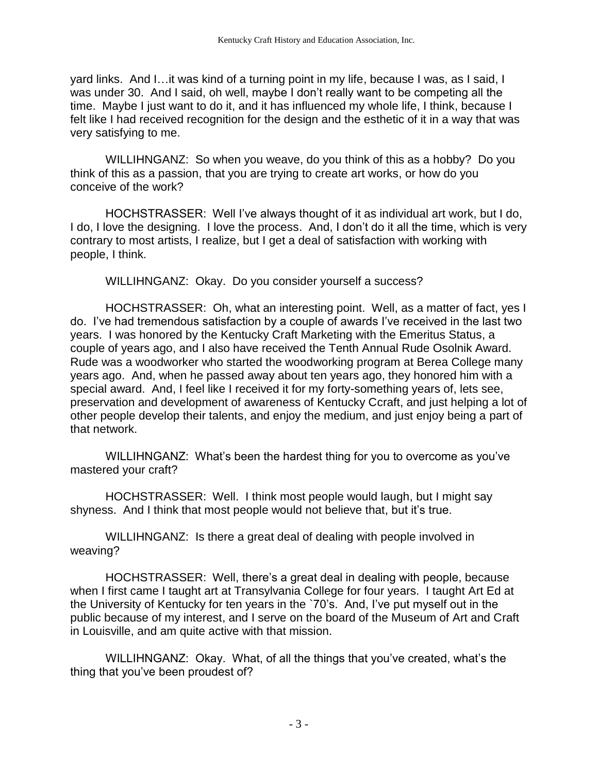yard links. And I…it was kind of a turning point in my life, because I was, as I said, I was under 30. And I said, oh well, maybe I don't really want to be competing all the time. Maybe I just want to do it, and it has influenced my whole life, I think, because I felt like I had received recognition for the design and the esthetic of it in a way that was very satisfying to me.

WILLIHNGANZ: So when you weave, do you think of this as a hobby? Do you think of this as a passion, that you are trying to create art works, or how do you conceive of the work?

HOCHSTRASSER: Well I've always thought of it as individual art work, but I do, I do, I love the designing. I love the process. And, I don't do it all the time, which is very contrary to most artists, I realize, but I get a deal of satisfaction with working with people, I think.

WILLIHNGANZ: Okay. Do you consider yourself a success?

HOCHSTRASSER: Oh, what an interesting point. Well, as a matter of fact, yes I do. I've had tremendous satisfaction by a couple of awards I've received in the last two years. I was honored by the Kentucky Craft Marketing with the Emeritus Status, a couple of years ago, and I also have received the Tenth Annual Rude Osolnik Award. Rude was a woodworker who started the woodworking program at Berea College many years ago. And, when he passed away about ten years ago, they honored him with a special award. And, I feel like I received it for my forty-something years of, lets see, preservation and development of awareness of Kentucky Ccraft, and just helping a lot of other people develop their talents, and enjoy the medium, and just enjoy being a part of that network.

WILLIHNGANZ: What's been the hardest thing for you to overcome as you've mastered your craft?

HOCHSTRASSER: Well. I think most people would laugh, but I might say shyness. And I think that most people would not believe that, but it's true.

WILLIHNGANZ: Is there a great deal of dealing with people involved in weaving?

HOCHSTRASSER: Well, there's a great deal in dealing with people, because when I first came I taught art at Transylvania College for four years. I taught Art Ed at the University of Kentucky for ten years in the `70's. And, I've put myself out in the public because of my interest, and I serve on the board of the Museum of Art and Craft in Louisville, and am quite active with that mission.

WILLIHNGANZ: Okay. What, of all the things that you've created, what's the thing that you've been proudest of?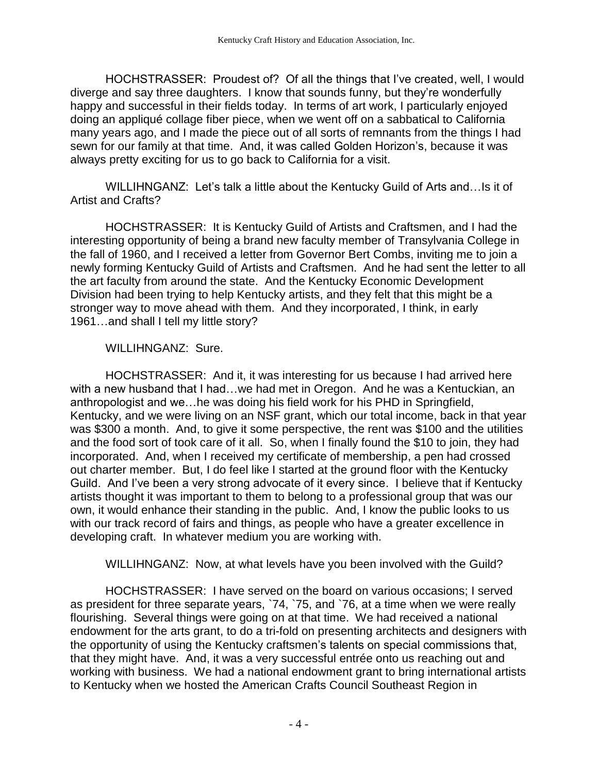HOCHSTRASSER: Proudest of? Of all the things that I've created, well, I would diverge and say three daughters. I know that sounds funny, but they're wonderfully happy and successful in their fields today. In terms of art work, I particularly enjoyed doing an appliqué collage fiber piece, when we went off on a sabbatical to California many years ago, and I made the piece out of all sorts of remnants from the things I had sewn for our family at that time. And, it was called Golden Horizon's, because it was always pretty exciting for us to go back to California for a visit.

WILLIHNGANZ: Let's talk a little about the Kentucky Guild of Arts and…Is it of Artist and Crafts?

HOCHSTRASSER: It is Kentucky Guild of Artists and Craftsmen, and I had the interesting opportunity of being a brand new faculty member of Transylvania College in the fall of 1960, and I received a letter from Governor Bert Combs, inviting me to join a newly forming Kentucky Guild of Artists and Craftsmen. And he had sent the letter to all the art faculty from around the state. And the Kentucky Economic Development Division had been trying to help Kentucky artists, and they felt that this might be a stronger way to move ahead with them. And they incorporated, I think, in early 1961…and shall I tell my little story?

## WILLIHNGANZ: Sure.

HOCHSTRASSER: And it, it was interesting for us because I had arrived here with a new husband that I had…we had met in Oregon. And he was a Kentuckian, an anthropologist and we…he was doing his field work for his PHD in Springfield, Kentucky, and we were living on an NSF grant, which our total income, back in that year was \$300 a month. And, to give it some perspective, the rent was \$100 and the utilities and the food sort of took care of it all. So, when I finally found the \$10 to join, they had incorporated. And, when I received my certificate of membership, a pen had crossed out charter member. But, I do feel like I started at the ground floor with the Kentucky Guild. And I've been a very strong advocate of it every since. I believe that if Kentucky artists thought it was important to them to belong to a professional group that was our own, it would enhance their standing in the public. And, I know the public looks to us with our track record of fairs and things, as people who have a greater excellence in developing craft. In whatever medium you are working with.

WILLIHNGANZ: Now, at what levels have you been involved with the Guild?

HOCHSTRASSER: I have served on the board on various occasions; I served as president for three separate years, `74, `75, and `76, at a time when we were really flourishing. Several things were going on at that time. We had received a national endowment for the arts grant, to do a tri-fold on presenting architects and designers with the opportunity of using the Kentucky craftsmen's talents on special commissions that, that they might have. And, it was a very successful entrée onto us reaching out and working with business. We had a national endowment grant to bring international artists to Kentucky when we hosted the American Crafts Council Southeast Region in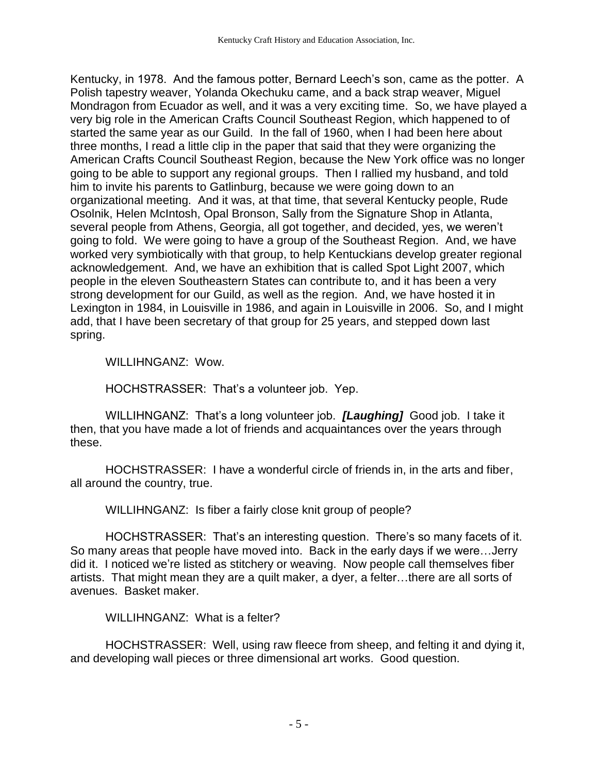Kentucky, in 1978. And the famous potter, Bernard Leech's son, came as the potter. A Polish tapestry weaver, Yolanda Okechuku came, and a back strap weaver, Miguel Mondragon from Ecuador as well, and it was a very exciting time. So, we have played a very big role in the American Crafts Council Southeast Region, which happened to of started the same year as our Guild. In the fall of 1960, when I had been here about three months, I read a little clip in the paper that said that they were organizing the American Crafts Council Southeast Region, because the New York office was no longer going to be able to support any regional groups. Then I rallied my husband, and told him to invite his parents to Gatlinburg, because we were going down to an organizational meeting. And it was, at that time, that several Kentucky people, Rude Osolnik, Helen McIntosh, Opal Bronson, Sally from the Signature Shop in Atlanta, several people from Athens, Georgia, all got together, and decided, yes, we weren't going to fold. We were going to have a group of the Southeast Region. And, we have worked very symbiotically with that group, to help Kentuckians develop greater regional acknowledgement. And, we have an exhibition that is called Spot Light 2007, which people in the eleven Southeastern States can contribute to, and it has been a very strong development for our Guild, as well as the region. And, we have hosted it in Lexington in 1984, in Louisville in 1986, and again in Louisville in 2006. So, and I might add, that I have been secretary of that group for 25 years, and stepped down last spring.

WILLIHNGANZ: Wow.

HOCHSTRASSER: That's a volunteer job. Yep.

WILLIHNGANZ: That's a long volunteer job. *[Laughing]* Good job. I take it then, that you have made a lot of friends and acquaintances over the years through these.

HOCHSTRASSER: I have a wonderful circle of friends in, in the arts and fiber, all around the country, true.

WILLIHNGANZ: Is fiber a fairly close knit group of people?

HOCHSTRASSER: That's an interesting question. There's so many facets of it. So many areas that people have moved into. Back in the early days if we were…Jerry did it. I noticed we're listed as stitchery or weaving. Now people call themselves fiber artists. That might mean they are a quilt maker, a dyer, a felter…there are all sorts of avenues. Basket maker.

WILLIHNGANZ: What is a felter?

HOCHSTRASSER: Well, using raw fleece from sheep, and felting it and dying it, and developing wall pieces or three dimensional art works. Good question.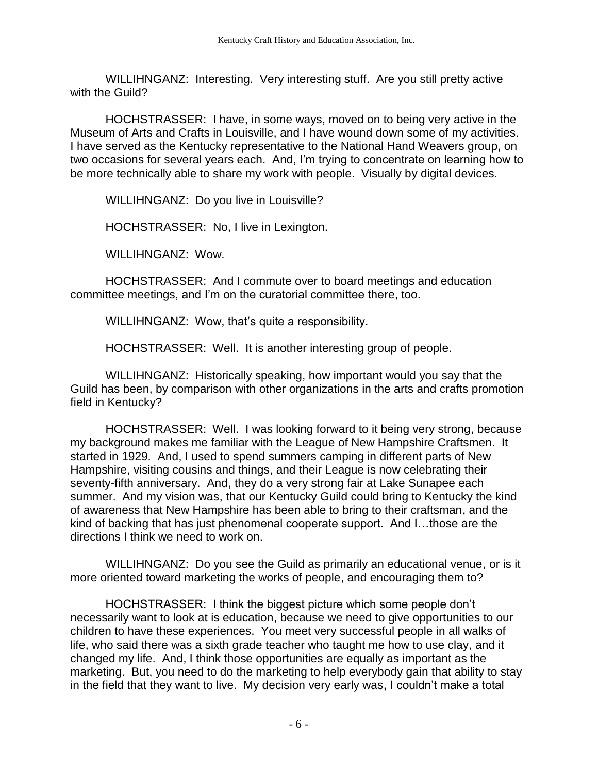WILLIHNGANZ: Interesting. Very interesting stuff. Are you still pretty active with the Guild?

HOCHSTRASSER: I have, in some ways, moved on to being very active in the Museum of Arts and Crafts in Louisville, and I have wound down some of my activities. I have served as the Kentucky representative to the National Hand Weavers group, on two occasions for several years each. And, I'm trying to concentrate on learning how to be more technically able to share my work with people. Visually by digital devices.

WILLIHNGANZ: Do you live in Louisville?

HOCHSTRASSER: No, I live in Lexington.

WILLIHNGANZ: Wow.

HOCHSTRASSER: And I commute over to board meetings and education committee meetings, and I'm on the curatorial committee there, too.

WILLIHNGANZ: Wow, that's quite a responsibility.

HOCHSTRASSER: Well. It is another interesting group of people.

WILLIHNGANZ: Historically speaking, how important would you say that the Guild has been, by comparison with other organizations in the arts and crafts promotion field in Kentucky?

HOCHSTRASSER: Well. I was looking forward to it being very strong, because my background makes me familiar with the League of New Hampshire Craftsmen. It started in 1929. And, I used to spend summers camping in different parts of New Hampshire, visiting cousins and things, and their League is now celebrating their seventy-fifth anniversary. And, they do a very strong fair at Lake Sunapee each summer. And my vision was, that our Kentucky Guild could bring to Kentucky the kind of awareness that New Hampshire has been able to bring to their craftsman, and the kind of backing that has just phenomenal cooperate support. And I…those are the directions I think we need to work on.

WILLIHNGANZ: Do you see the Guild as primarily an educational venue, or is it more oriented toward marketing the works of people, and encouraging them to?

HOCHSTRASSER: I think the biggest picture which some people don't necessarily want to look at is education, because we need to give opportunities to our children to have these experiences. You meet very successful people in all walks of life, who said there was a sixth grade teacher who taught me how to use clay, and it changed my life. And, I think those opportunities are equally as important as the marketing. But, you need to do the marketing to help everybody gain that ability to stay in the field that they want to live. My decision very early was, I couldn't make a total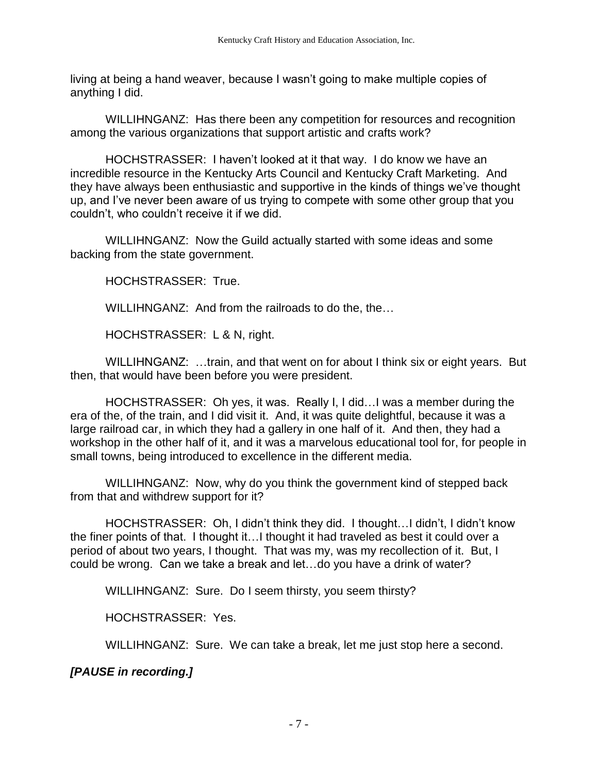living at being a hand weaver, because I wasn't going to make multiple copies of anything I did.

WILLIHNGANZ: Has there been any competition for resources and recognition among the various organizations that support artistic and crafts work?

HOCHSTRASSER: I haven't looked at it that way. I do know we have an incredible resource in the Kentucky Arts Council and Kentucky Craft Marketing. And they have always been enthusiastic and supportive in the kinds of things we've thought up, and I've never been aware of us trying to compete with some other group that you couldn't, who couldn't receive it if we did.

WILLIHNGANZ: Now the Guild actually started with some ideas and some backing from the state government.

HOCHSTRASSER: True.

WILLIHNGANZ: And from the railroads to do the, the…

HOCHSTRASSER: L & N, right.

WILLIHNGANZ: …train, and that went on for about I think six or eight years. But then, that would have been before you were president.

HOCHSTRASSER: Oh yes, it was. Really I, I did…I was a member during the era of the, of the train, and I did visit it. And, it was quite delightful, because it was a large railroad car, in which they had a gallery in one half of it. And then, they had a workshop in the other half of it, and it was a marvelous educational tool for, for people in small towns, being introduced to excellence in the different media.

WILLIHNGANZ: Now, why do you think the government kind of stepped back from that and withdrew support for it?

HOCHSTRASSER: Oh, I didn't think they did. I thought…I didn't, I didn't know the finer points of that. I thought it…I thought it had traveled as best it could over a period of about two years, I thought. That was my, was my recollection of it. But, I could be wrong. Can we take a break and let…do you have a drink of water?

WILLIHNGANZ: Sure. Do I seem thirsty, you seem thirsty?

HOCHSTRASSER: Yes.

WILLIHNGANZ: Sure. We can take a break, let me just stop here a second.

*[PAUSE in recording.]*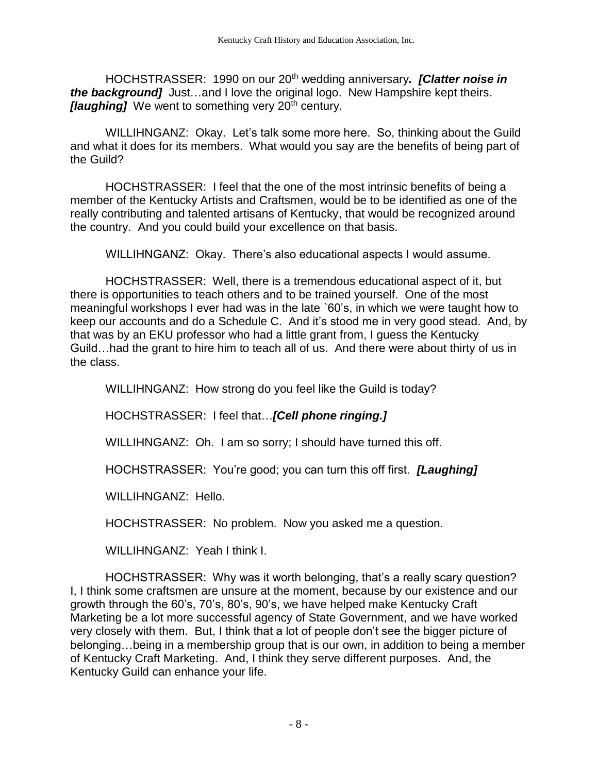HOCHSTRASSER: 1990 on our 20th wedding anniversary*. [Clatter noise in the background]* Just…and I love the original logo. New Hampshire kept theirs. *[laughing]* We went to something very 20<sup>th</sup> century.

WILLIHNGANZ: Okay. Let's talk some more here. So, thinking about the Guild and what it does for its members. What would you say are the benefits of being part of the Guild?

HOCHSTRASSER: I feel that the one of the most intrinsic benefits of being a member of the Kentucky Artists and Craftsmen, would be to be identified as one of the really contributing and talented artisans of Kentucky, that would be recognized around the country. And you could build your excellence on that basis.

WILLIHNGANZ: Okay. There's also educational aspects I would assume.

HOCHSTRASSER: Well, there is a tremendous educational aspect of it, but there is opportunities to teach others and to be trained yourself. One of the most meaningful workshops I ever had was in the late `60's, in which we were taught how to keep our accounts and do a Schedule C. And it's stood me in very good stead. And, by that was by an EKU professor who had a little grant from, I guess the Kentucky Guild…had the grant to hire him to teach all of us. And there were about thirty of us in the class.

WILLIHNGANZ: How strong do you feel like the Guild is today?

HOCHSTRASSER: I feel that…*[Cell phone ringing.]*

WILLIHNGANZ: Oh. I am so sorry; I should have turned this off.

HOCHSTRASSER: You're good; you can turn this off first. *[Laughing]*

WILLIHNGANZ: Hello.

HOCHSTRASSER: No problem. Now you asked me a question.

WILLIHNGANZ: Yeah I think I.

HOCHSTRASSER: Why was it worth belonging, that's a really scary question? I, I think some craftsmen are unsure at the moment, because by our existence and our growth through the 60's, 70's, 80's, 90's, we have helped make Kentucky Craft Marketing be a lot more successful agency of State Government, and we have worked very closely with them. But, I think that a lot of people don't see the bigger picture of belonging…being in a membership group that is our own, in addition to being a member of Kentucky Craft Marketing. And, I think they serve different purposes. And, the Kentucky Guild can enhance your life.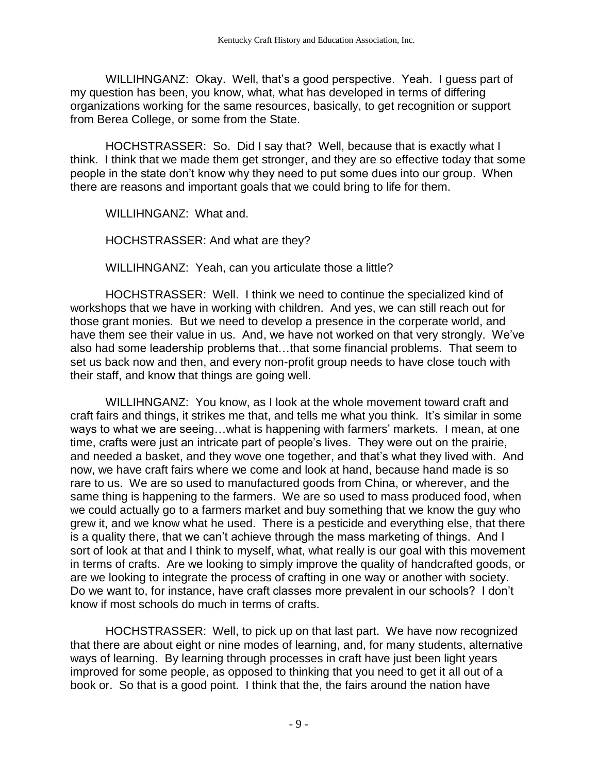WILLIHNGANZ: Okay. Well, that's a good perspective. Yeah. I guess part of my question has been, you know, what, what has developed in terms of differing organizations working for the same resources, basically, to get recognition or support from Berea College, or some from the State.

HOCHSTRASSER: So. Did I say that? Well, because that is exactly what I think. I think that we made them get stronger, and they are so effective today that some people in the state don't know why they need to put some dues into our group. When there are reasons and important goals that we could bring to life for them.

WILLIHNGANZ: What and.

HOCHSTRASSER: And what are they?

WILLIHNGANZ: Yeah, can you articulate those a little?

HOCHSTRASSER: Well. I think we need to continue the specialized kind of workshops that we have in working with children. And yes, we can still reach out for those grant monies. But we need to develop a presence in the corperate world, and have them see their value in us. And, we have not worked on that very strongly. We've also had some leadership problems that…that some financial problems. That seem to set us back now and then, and every non-profit group needs to have close touch with their staff, and know that things are going well.

WILLIHNGANZ: You know, as I look at the whole movement toward craft and craft fairs and things, it strikes me that, and tells me what you think. It's similar in some ways to what we are seeing…what is happening with farmers' markets. I mean, at one time, crafts were just an intricate part of people's lives. They were out on the prairie, and needed a basket, and they wove one together, and that's what they lived with. And now, we have craft fairs where we come and look at hand, because hand made is so rare to us. We are so used to manufactured goods from China, or wherever, and the same thing is happening to the farmers. We are so used to mass produced food, when we could actually go to a farmers market and buy something that we know the guy who grew it, and we know what he used. There is a pesticide and everything else, that there is a quality there, that we can't achieve through the mass marketing of things. And I sort of look at that and I think to myself, what, what really is our goal with this movement in terms of crafts. Are we looking to simply improve the quality of handcrafted goods, or are we looking to integrate the process of crafting in one way or another with society. Do we want to, for instance, have craft classes more prevalent in our schools? I don't know if most schools do much in terms of crafts.

HOCHSTRASSER: Well, to pick up on that last part. We have now recognized that there are about eight or nine modes of learning, and, for many students, alternative ways of learning. By learning through processes in craft have just been light years improved for some people, as opposed to thinking that you need to get it all out of a book or. So that is a good point. I think that the, the fairs around the nation have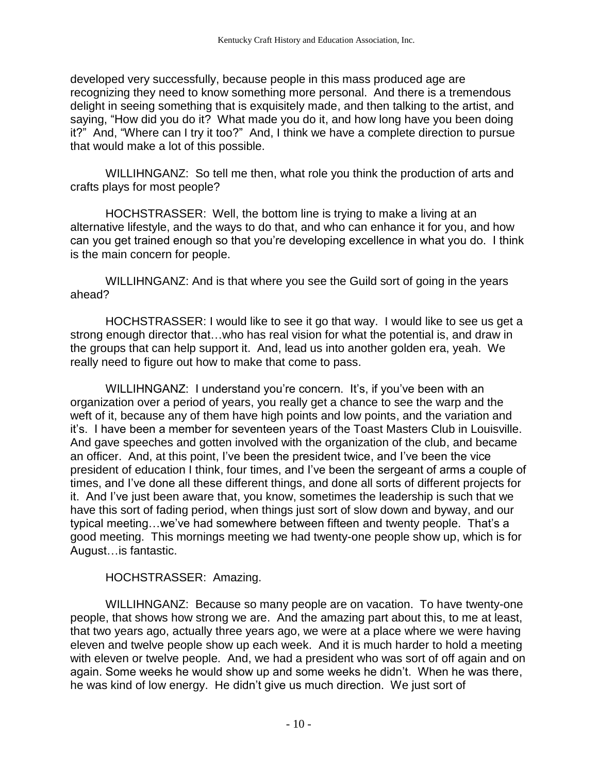developed very successfully, because people in this mass produced age are recognizing they need to know something more personal. And there is a tremendous delight in seeing something that is exquisitely made, and then talking to the artist, and saying, "How did you do it? What made you do it, and how long have you been doing it?" And, "Where can I try it too?" And, I think we have a complete direction to pursue that would make a lot of this possible.

WILLIHNGANZ: So tell me then, what role you think the production of arts and crafts plays for most people?

HOCHSTRASSER: Well, the bottom line is trying to make a living at an alternative lifestyle, and the ways to do that, and who can enhance it for you, and how can you get trained enough so that you're developing excellence in what you do. I think is the main concern for people.

WILLIHNGANZ: And is that where you see the Guild sort of going in the years ahead?

HOCHSTRASSER: I would like to see it go that way. I would like to see us get a strong enough director that…who has real vision for what the potential is, and draw in the groups that can help support it. And, lead us into another golden era, yeah. We really need to figure out how to make that come to pass.

WILLIHNGANZ: I understand you're concern. It's, if you've been with an organization over a period of years, you really get a chance to see the warp and the weft of it, because any of them have high points and low points, and the variation and it's. I have been a member for seventeen years of the Toast Masters Club in Louisville. And gave speeches and gotten involved with the organization of the club, and became an officer. And, at this point, I've been the president twice, and I've been the vice president of education I think, four times, and I've been the sergeant of arms a couple of times, and I've done all these different things, and done all sorts of different projects for it. And I've just been aware that, you know, sometimes the leadership is such that we have this sort of fading period, when things just sort of slow down and byway, and our typical meeting…we've had somewhere between fifteen and twenty people. That's a good meeting. This mornings meeting we had twenty-one people show up, which is for August…is fantastic.

## HOCHSTRASSER: Amazing.

WILLIHNGANZ: Because so many people are on vacation. To have twenty-one people, that shows how strong we are. And the amazing part about this, to me at least, that two years ago, actually three years ago, we were at a place where we were having eleven and twelve people show up each week. And it is much harder to hold a meeting with eleven or twelve people. And, we had a president who was sort of off again and on again. Some weeks he would show up and some weeks he didn't. When he was there, he was kind of low energy. He didn't give us much direction. We just sort of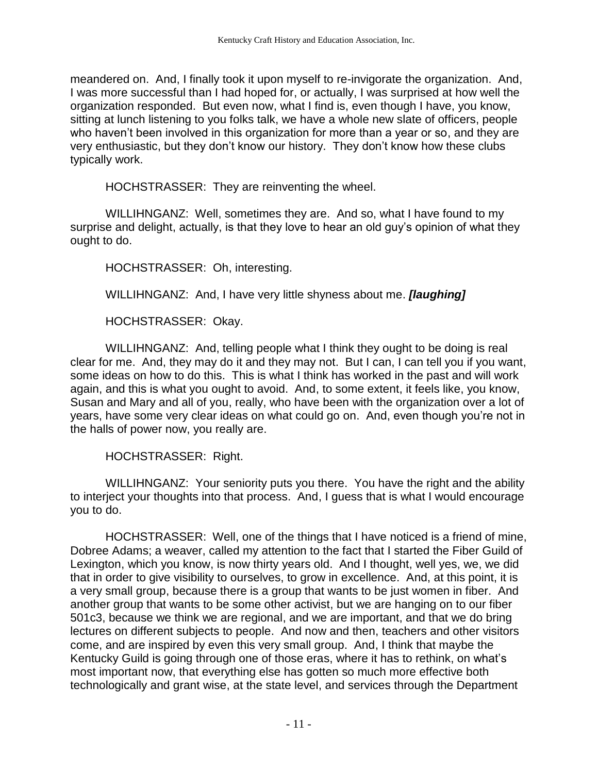meandered on. And, I finally took it upon myself to re-invigorate the organization. And, I was more successful than I had hoped for, or actually, I was surprised at how well the organization responded. But even now, what I find is, even though I have, you know, sitting at lunch listening to you folks talk, we have a whole new slate of officers, people who haven't been involved in this organization for more than a year or so, and they are very enthusiastic, but they don't know our history. They don't know how these clubs typically work.

HOCHSTRASSER: They are reinventing the wheel.

WILLIHNGANZ: Well, sometimes they are. And so, what I have found to my surprise and delight, actually, is that they love to hear an old guy's opinion of what they ought to do.

HOCHSTRASSER: Oh, interesting.

WILLIHNGANZ: And, I have very little shyness about me. *[laughing]*

HOCHSTRASSER: Okay.

WILLIHNGANZ: And, telling people what I think they ought to be doing is real clear for me. And, they may do it and they may not. But I can, I can tell you if you want, some ideas on how to do this. This is what I think has worked in the past and will work again, and this is what you ought to avoid. And, to some extent, it feels like, you know, Susan and Mary and all of you, really, who have been with the organization over a lot of years, have some very clear ideas on what could go on. And, even though you're not in the halls of power now, you really are.

HOCHSTRASSER: Right.

WILLIHNGANZ: Your seniority puts you there. You have the right and the ability to interject your thoughts into that process. And, I guess that is what I would encourage you to do.

HOCHSTRASSER: Well, one of the things that I have noticed is a friend of mine, Dobree Adams; a weaver, called my attention to the fact that I started the Fiber Guild of Lexington, which you know, is now thirty years old. And I thought, well yes, we, we did that in order to give visibility to ourselves, to grow in excellence. And, at this point, it is a very small group, because there is a group that wants to be just women in fiber. And another group that wants to be some other activist, but we are hanging on to our fiber 501c3, because we think we are regional, and we are important, and that we do bring lectures on different subjects to people. And now and then, teachers and other visitors come, and are inspired by even this very small group. And, I think that maybe the Kentucky Guild is going through one of those eras, where it has to rethink, on what's most important now, that everything else has gotten so much more effective both technologically and grant wise, at the state level, and services through the Department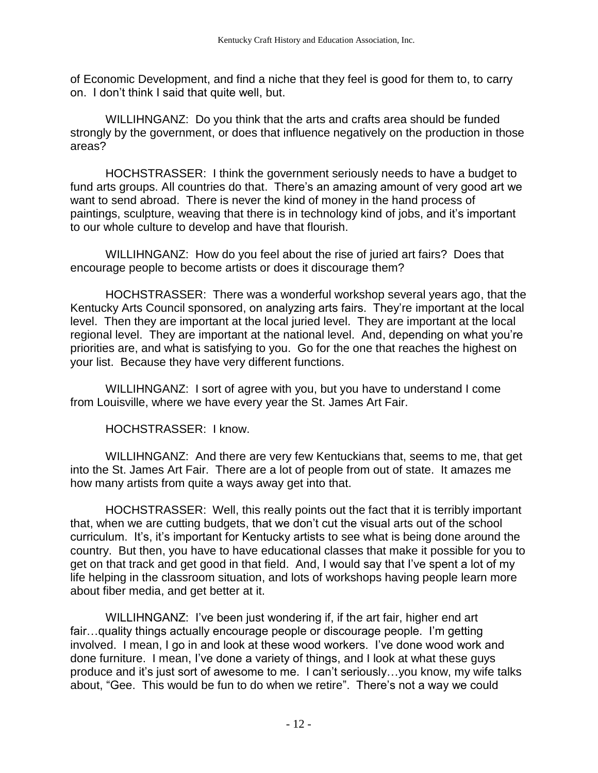of Economic Development, and find a niche that they feel is good for them to, to carry on. I don't think I said that quite well, but.

WILLIHNGANZ: Do you think that the arts and crafts area should be funded strongly by the government, or does that influence negatively on the production in those areas?

HOCHSTRASSER: I think the government seriously needs to have a budget to fund arts groups. All countries do that. There's an amazing amount of very good art we want to send abroad. There is never the kind of money in the hand process of paintings, sculpture, weaving that there is in technology kind of jobs, and it's important to our whole culture to develop and have that flourish.

WILLIHNGANZ: How do you feel about the rise of juried art fairs? Does that encourage people to become artists or does it discourage them?

HOCHSTRASSER: There was a wonderful workshop several years ago, that the Kentucky Arts Council sponsored, on analyzing arts fairs. They're important at the local level. Then they are important at the local juried level. They are important at the local regional level. They are important at the national level. And, depending on what you're priorities are, and what is satisfying to you. Go for the one that reaches the highest on your list. Because they have very different functions.

WILLIHNGANZ: I sort of agree with you, but you have to understand I come from Louisville, where we have every year the St. James Art Fair.

HOCHSTRASSER: I know.

WILLIHNGANZ: And there are very few Kentuckians that, seems to me, that get into the St. James Art Fair. There are a lot of people from out of state. It amazes me how many artists from quite a ways away get into that.

HOCHSTRASSER: Well, this really points out the fact that it is terribly important that, when we are cutting budgets, that we don't cut the visual arts out of the school curriculum. It's, it's important for Kentucky artists to see what is being done around the country. But then, you have to have educational classes that make it possible for you to get on that track and get good in that field. And, I would say that I've spent a lot of my life helping in the classroom situation, and lots of workshops having people learn more about fiber media, and get better at it.

WILLIHNGANZ: I've been just wondering if, if the art fair, higher end art fair…quality things actually encourage people or discourage people. I'm getting involved. I mean, I go in and look at these wood workers. I've done wood work and done furniture. I mean, I've done a variety of things, and I look at what these guys produce and it's just sort of awesome to me. I can't seriously…you know, my wife talks about, "Gee. This would be fun to do when we retire". There's not a way we could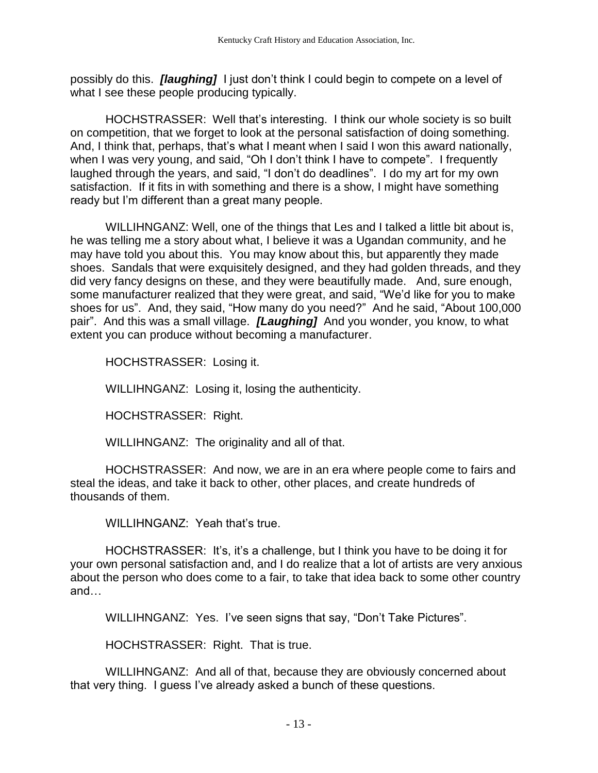possibly do this. *[laughing]* I just don't think I could begin to compete on a level of what I see these people producing typically.

HOCHSTRASSER: Well that's interesting. I think our whole society is so built on competition, that we forget to look at the personal satisfaction of doing something. And, I think that, perhaps, that's what I meant when I said I won this award nationally, when I was very young, and said, "Oh I don't think I have to compete". I frequently laughed through the years, and said, "I don't do deadlines". I do my art for my own satisfaction. If it fits in with something and there is a show, I might have something ready but I'm different than a great many people.

WILLIHNGANZ: Well, one of the things that Les and I talked a little bit about is, he was telling me a story about what, I believe it was a Ugandan community, and he may have told you about this. You may know about this, but apparently they made shoes. Sandals that were exquisitely designed, and they had golden threads, and they did very fancy designs on these, and they were beautifully made. And, sure enough, some manufacturer realized that they were great, and said, "We'd like for you to make shoes for us". And, they said, "How many do you need?" And he said, "About 100,000 pair". And this was a small village. *[Laughing]* And you wonder, you know, to what extent you can produce without becoming a manufacturer.

HOCHSTRASSER: Losing it.

WILLIHNGANZ: Losing it, losing the authenticity.

HOCHSTRASSER: Right.

WILLIHNGANZ: The originality and all of that.

HOCHSTRASSER: And now, we are in an era where people come to fairs and steal the ideas, and take it back to other, other places, and create hundreds of thousands of them.

WILLIHNGANZ: Yeah that's true.

HOCHSTRASSER: It's, it's a challenge, but I think you have to be doing it for your own personal satisfaction and, and I do realize that a lot of artists are very anxious about the person who does come to a fair, to take that idea back to some other country and…

WILLIHNGANZ: Yes. I've seen signs that say, "Don't Take Pictures".

HOCHSTRASSER: Right. That is true.

WILLIHNGANZ: And all of that, because they are obviously concerned about that very thing. I guess I've already asked a bunch of these questions.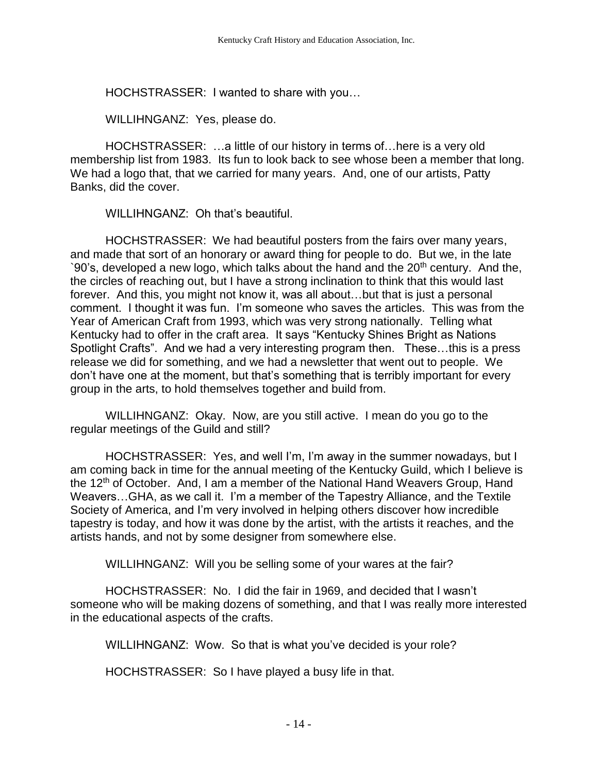HOCHSTRASSER: I wanted to share with you…

WILLIHNGANZ: Yes, please do.

HOCHSTRASSER: …a little of our history in terms of…here is a very old membership list from 1983. Its fun to look back to see whose been a member that long. We had a logo that, that we carried for many years. And, one of our artists, Patty Banks, did the cover.

WILLIHNGANZ: Oh that's beautiful.

HOCHSTRASSER: We had beautiful posters from the fairs over many years, and made that sort of an honorary or award thing for people to do. But we, in the late `90's, developed a new logo, which talks about the hand and the  $20<sup>th</sup>$  century. And the, the circles of reaching out, but I have a strong inclination to think that this would last forever. And this, you might not know it, was all about…but that is just a personal comment. I thought it was fun. I'm someone who saves the articles. This was from the Year of American Craft from 1993, which was very strong nationally. Telling what Kentucky had to offer in the craft area. It says "Kentucky Shines Bright as Nations Spotlight Crafts". And we had a very interesting program then. These…this is a press release we did for something, and we had a newsletter that went out to people. We don't have one at the moment, but that's something that is terribly important for every group in the arts, to hold themselves together and build from.

WILLIHNGANZ: Okay. Now, are you still active. I mean do you go to the regular meetings of the Guild and still?

HOCHSTRASSER: Yes, and well I'm, I'm away in the summer nowadays, but I am coming back in time for the annual meeting of the Kentucky Guild, which I believe is the 12<sup>th</sup> of October. And, I am a member of the National Hand Weavers Group, Hand Weavers…GHA, as we call it. I'm a member of the Tapestry Alliance, and the Textile Society of America, and I'm very involved in helping others discover how incredible tapestry is today, and how it was done by the artist, with the artists it reaches, and the artists hands, and not by some designer from somewhere else.

WILLIHNGANZ: Will you be selling some of your wares at the fair?

HOCHSTRASSER: No. I did the fair in 1969, and decided that I wasn't someone who will be making dozens of something, and that I was really more interested in the educational aspects of the crafts.

WILLIHNGANZ: Wow. So that is what you've decided is your role?

HOCHSTRASSER: So I have played a busy life in that.